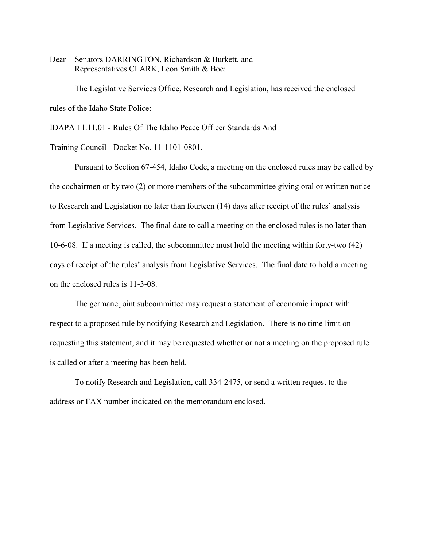Dear Senators DARRINGTON, Richardson & Burkett, and Representatives CLARK, Leon Smith & Boe:

The Legislative Services Office, Research and Legislation, has received the enclosed rules of the Idaho State Police:

IDAPA 11.11.01 - Rules Of The Idaho Peace Officer Standards And

Training Council - Docket No. 11-1101-0801.

Pursuant to Section 67-454, Idaho Code, a meeting on the enclosed rules may be called by the cochairmen or by two (2) or more members of the subcommittee giving oral or written notice to Research and Legislation no later than fourteen (14) days after receipt of the rules' analysis from Legislative Services. The final date to call a meeting on the enclosed rules is no later than 10-6-08. If a meeting is called, the subcommittee must hold the meeting within forty-two (42) days of receipt of the rules' analysis from Legislative Services. The final date to hold a meeting on the enclosed rules is 11-3-08.

The germane joint subcommittee may request a statement of economic impact with respect to a proposed rule by notifying Research and Legislation. There is no time limit on requesting this statement, and it may be requested whether or not a meeting on the proposed rule is called or after a meeting has been held.

To notify Research and Legislation, call 334-2475, or send a written request to the address or FAX number indicated on the memorandum enclosed.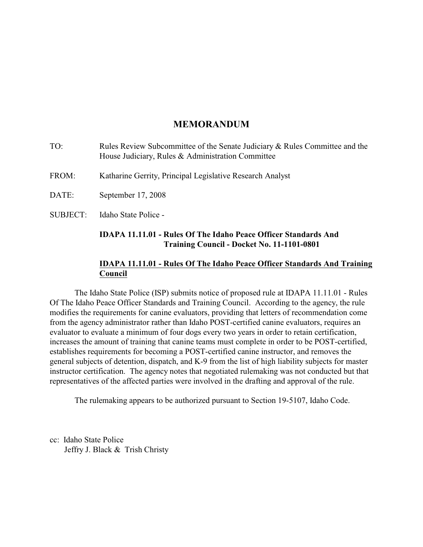## **MEMORANDUM**

|          | IDAPA 11.11.01 - Rules Of The Idaho Peace Officer Standards And                                                                  |  |
|----------|----------------------------------------------------------------------------------------------------------------------------------|--|
| SUBJECT: | Idaho State Police -                                                                                                             |  |
| DATE:    | September 17, 2008                                                                                                               |  |
| FROM:    | Katharine Gerrity, Principal Legislative Research Analyst                                                                        |  |
| TO:      | Rules Review Subcommittee of the Senate Judiciary & Rules Committee and the<br>House Judiciary, Rules & Administration Committee |  |

# **Training Council - Docket No. 11-1101-0801**

### **IDAPA 11.11.01 - Rules Of The Idaho Peace Officer Standards And Training Council**

The Idaho State Police (ISP) submits notice of proposed rule at IDAPA 11.11.01 - Rules Of The Idaho Peace Officer Standards and Training Council. According to the agency, the rule modifies the requirements for canine evaluators, providing that letters of recommendation come from the agency administrator rather than Idaho POST-certified canine evaluators, requires an evaluator to evaluate a minimum of four dogs every two years in order to retain certification, increases the amount of training that canine teams must complete in order to be POST-certified, establishes requirements for becoming a POST-certified canine instructor, and removes the general subjects of detention, dispatch, and K-9 from the list of high liability subjects for master instructor certification. The agency notes that negotiated rulemaking was not conducted but that representatives of the affected parties were involved in the drafting and approval of the rule.

The rulemaking appears to be authorized pursuant to Section 19-5107, Idaho Code.

cc: Idaho State Police Jeffry J. Black & Trish Christy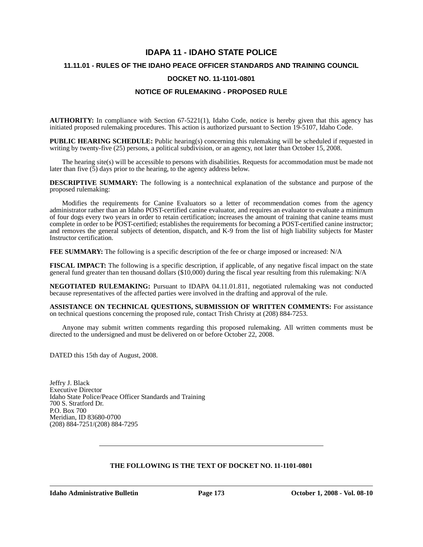# **IDAPA 11 - IDAHO STATE POLICE 11.11.01 - RULES OF THE IDAHO PEACE OFFICER STANDARDS AND TRAINING COUNCIL DOCKET NO. 11-1101-0801**

#### **NOTICE OF RULEMAKING - PROPOSED RULE**

**AUTHORITY:** In compliance with Section 67-5221(1), Idaho Code, notice is hereby given that this agency has initiated proposed rulemaking procedures. This action is authorized pursuant to Section 19-5107, Idaho Code.

**PUBLIC HEARING SCHEDULE:** Public hearing(s) concerning this rulemaking will be scheduled if requested in writing by twenty-five (25) persons, a political subdivision, or an agency, not later than October 15, 2008.

The hearing site(s) will be accessible to persons with disabilities. Requests for accommodation must be made not later than five  $(5)$  days prior to the hearing, to the agency address below.

**DESCRIPTIVE SUMMARY:** The following is a nontechnical explanation of the substance and purpose of the proposed rulemaking:

Modifies the requirements for Canine Evaluators so a letter of recommendation comes from the agency administrator rather than an Idaho POST-certified canine evaluator, and requires an evaluator to evaluate a minimum of four dogs every two years in order to retain certification; increases the amount of training that canine teams must complete in order to be POST-certified; establishes the requirements for becoming a POST-certified canine instructor; and removes the general subjects of detention, dispatch, and K-9 from the list of high liability subjects for Master Instructor certification.

**FEE SUMMARY:** The following is a specific description of the fee or charge imposed or increased: N/A

**FISCAL IMPACT:** The following is a specific description, if applicable, of any negative fiscal impact on the state general fund greater than ten thousand dollars (\$10,000) during the fiscal year resulting from this rulemaking: N/A

**NEGOTIATED RULEMAKING:** Pursuant to IDAPA 04.11.01.811, negotiated rulemaking was not conducted because representatives of the affected parties were involved in the drafting and approval of the rule.

**ASSISTANCE ON TECHNICAL QUESTIONS, SUBMISSION OF WRITTEN COMMENTS:** For assistance on technical questions concerning the proposed rule, contact Trish Christy at (208) 884-7253.

Anyone may submit written comments regarding this proposed rulemaking. All written comments must be directed to the undersigned and must be delivered on or before October 22, 2008.

DATED this 15th day of August, 2008.

Jeffry J. Black Executive Director Idaho State Police/Peace Officer Standards and Training 700 S. Stratford Dr. P.O. Box 700 Meridian, ID 83680-0700 (208) 884-7251/(208) 884-7295

#### **THE FOLLOWING IS THE TEXT OF DOCKET NO. 11-1101-0801**

**Idaho Administrative Bulletin Page 173 October 1, 2008 - Vol. 08-10**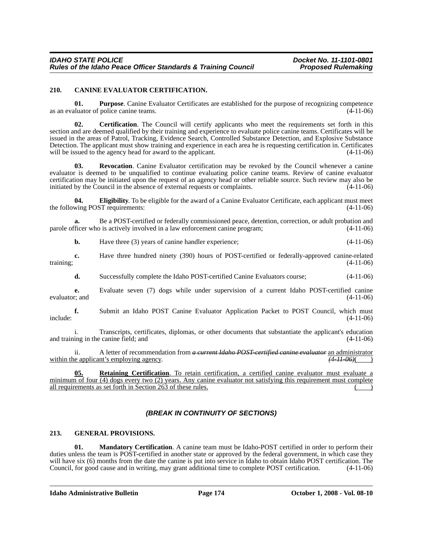#### **210. CANINE EVALUATOR CERTIFICATION.**

**01. Purpose**. Canine Evaluator Certificates are established for the purpose of recognizing competence as an evaluator of police canine teams.  $(4-11-06)$ 

**02. Certification**. The Council will certify applicants who meet the requirements set forth in this section and are deemed qualified by their training and experience to evaluate police canine teams. Certificates will be issued in the areas of Patrol, Tracking, Evidence Search, Controlled Substance Detection, and Explosive Substance Detection. The applicant must show training and experience in each area he is requesting certification in. Certificates will be issued to the agency head for award to the applicant. (4-11-06)

**03. Revocation**. Canine Evaluator certification may be revoked by the Council whenever a canine evaluator is deemed to be unqualified to continue evaluating police canine teams. Review of canine evaluator certification may be initiated upon the request of an agency head or other reliable source. Such review may also be initiated by the Council in the absence of external requests or complaints. (4-11-06)

**04. Eligibility**. To be eligible for the award of a Canine Evaluator Certificate, each applicant must meet the following POST requirements: (4-11-06)

**a.** Be a POST-certified or federally commissioned peace, detention, correction, or adult probation and ficer who is actively involved in a law enforcement canine program; (4-11-06) parole officer who is actively involved in a law enforcement canine program;

**b.** Have three (3) years of canine handler experience; (4-11-06)

**c.** Have three hundred ninety (390) hours of POST-certified or federally-approved canine-related training;  $(4-11-06)$ 

**d.** Successfully complete the Idaho POST-certified Canine Evaluators course; (4-11-06)

**e.** Evaluate seven (7) dogs while under supervision of a current Idaho POST-certified canine evaluator; and (4-11-06)

**f.** Submit an Idaho POST Canine Evaluator Application Packet to POST Council, which must include: (4-11-06)

i. Transcripts, certificates, diplomas, or other documents that substantiate the applicant's education and training in the canine field; and  $(4-11-06)$ 

ii. A letter of recommendation from *a current Idaho POST-certified canine evaluator* an administrator within the applicant's employing agency.  $(4-11-06)$ 

**05. Retaining Certification**. To retain certification, a certified canine evaluator must evaluate a minimum of four (4) dogs every two (2) years. Any canine evaluator not satisfying this requirement must complete all requirements as set forth in Section 263 of these rules.

#### *(BREAK IN CONTINUITY OF SECTIONS)*

#### **213. GENERAL PROVISIONS.**

**01.** Mandatory Certification. A canine team must be Idaho-POST certified in order to perform their duties unless the team is POST-certified in another state or approved by the federal government, in which case they will have six (6) months from the date the canine is put into service in Idaho to obtain Idaho POST certification. The Council, for good cause and in writing, may grant additional time to complete POST certification. (4-11-06)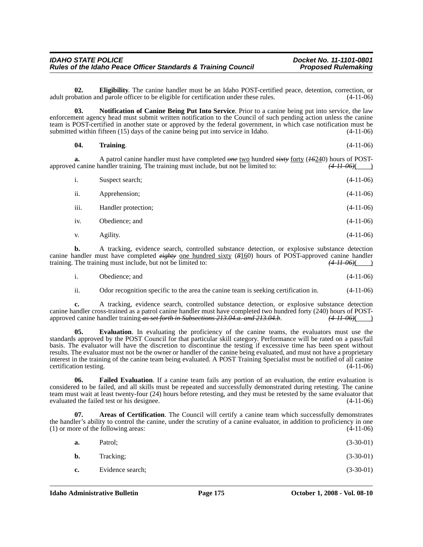| <b>IDAHO STATE POLICE</b>                                                |  |
|--------------------------------------------------------------------------|--|
| <b>Rules of the Idaho Peace Officer Standards &amp; Training Council</b> |  |

**02. Eligibility**. The canine handler must be an Idaho POST-certified peace, detention, correction, or bation and parole officer to be eligible for certification under these rules.  $(4-11-06)$ adult probation and parole officer to be eligible for certification under these rules.

**03. Notification of Canine Being Put Into Service**. Prior to a canine being put into service, the law enforcement agency head must submit written notification to the Council of such pending action unless the canine team is POST-certified in another state or approved by the federal government, in which case notification must be submitted within fifteen (15) days of the canine being put into service in Idaho.  $(4-11-06)$ 

| 04. | Training. | $(4-11-06)$ |
|-----|-----------|-------------|
|-----|-----------|-------------|

**a.** A patrol canine handler must have completed *one* two hundred *sixty* forty (*1624*0) hours of POST-<br>d canine handler training. The training must include, but not be limited to:  $(4-11-06)$ approved canine handler training. The training must include, but not be limited to:

| i.   | Suspect search;     | $(4-11-06)$ |
|------|---------------------|-------------|
| ii.  | Apprehension;       | $(4-11-06)$ |
| iii. | Handler protection; | $(4-11-06)$ |
| iv.  | Obedience; and      | $(4-11-06)$ |
| V.   | Agility.            | $(4-11-06)$ |

**b.** A tracking, evidence search, controlled substance detection, or explosive substance detection canine handler must have completed *eighty* one hundred sixty (*8*160) hours of POST-approved canine handler training. The training must include, but not be limited to: *(4-11-06)*( )

|  | Obedience; and | $(4-11-06)$ |
|--|----------------|-------------|
|--|----------------|-------------|

ii. Odor recognition specific to the area the canine team is seeking certification in. (4-11-06)

**c.** A tracking, evidence search, controlled substance detection, or explosive substance detection canine handler cross-trained as a patrol canine handler must have completed two hundred forty (240) hours of POST-<br>approved canine handler training as set forth in Subsections 213.04.a. and 213.04.b.  $(4 \text{ } H \text{ } 06)$ approved canine handler training as set forth in Subsections 213.04.a. and 213.04.b.

**05. Evaluation**. In evaluating the proficiency of the canine teams, the evaluators must use the standards approved by the POST Council for that particular skill category. Performance will be rated on a pass/fail basis. The evaluator will have the discretion to discontinue the testing if excessive time has been spent without results. The evaluator must not be the owner or handler of the canine being evaluated, and must not have a proprietary interest in the training of the canine team being evaluated. A POST Training Specialist must be notified of all canine certification testing. (4-11-06)

**06. Failed Evaluation**. If a canine team fails any portion of an evaluation, the entire evaluation is considered to be failed, and all skills must be repeated and successfully demonstrated during retesting. The canine team must wait at least twenty-four (24) hours before retesting, and they must be retested by the same evaluator that evaluated the failed test or his designee. (4-11-06)

**07.** Areas of Certification. The Council will certify a canine team which successfully demonstrates the handler's ability to control the canine, under the scrutiny of a canine evaluator, in addition to proficiency in one (1) or more of the following areas: (4-11-06)

| a.             | Patrol;          | $(3-30-01)$ |
|----------------|------------------|-------------|
| <b>b.</b>      | Tracking;        | $(3-30-01)$ |
| $\mathbf{c}$ . | Evidence search; | $(3-30-01)$ |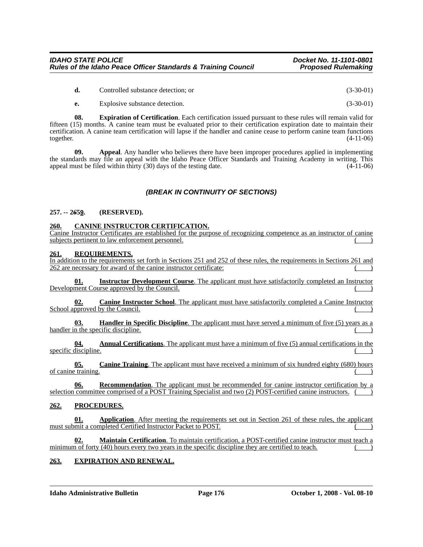- **d.** Controlled substance detection; or (3-30-01)
- **e.** Explosive substance detection. (3-30-01)

**08. Expiration of Certification**. Each certification issued pursuant to these rules will remain valid for fifteen (15) months. A canine team must be evaluated prior to their certification expiration date to maintain their certification. A canine team certification will lapse if the handler and canine cease to perform canine team functions together. (4-11-06)

**09. Appeal**. Any handler who believes there have been improper procedures applied in implementing the standards may file an appeal with the Idaho Peace Officer Standards and Training Academy in writing. This appeal must be filed within thirty (30) days of the testing date. (4-11-06) appeal must be filed within thirty  $(30)$  days of the testing date.

#### *(BREAK IN CONTINUITY OF SECTIONS)*

#### **257. -- 2***6***59. (RESERVED).**

#### **260. CANINE INSTRUCTOR CERTIFICATION.**

Canine Instructor Certificates are established for the purpose of recognizing competence as an instructor of canine subjects pertinent to law enforcement personnel.

#### **261. REQUIREMENTS.**

In addition to the requirements set forth in Sections 251 and 252 of these rules, the requirements in Sections 261 and 262 are necessary for award of the canine instructor certificate: ( )

**01. Instructor Development Course**. The applicant must have satisfactorily completed an Instructor Development Course approved by the Council.

**02. Canine Instructor School**. The applicant must have satisfactorily completed a Canine Instructor School approved by the Council.

**03. Handler in Specific Discipline**. The applicant must have served a minimum of five (5) years as a handler in the specific discipline.

**04. Annual Certifications**. The applicant must have a minimum of five (5) annual certifications in the specific discipline.

**05. Canine Training**. The applicant must have received a minimum of six hundred eighty (680) hours of canine training.

**06. Recommendation**. The applicant must be recommended for canine instructor certification by a selection committee comprised of a POST Training Specialist and two (2) POST-certified canine instructors. ( )

#### **262. PROCEDURES.**

**01. Application**. After meeting the requirements set out in Section 261 of these rules, the applicant must submit a completed Certified Instructor Packet to POST.

**02. Maintain Certification**. To maintain certification, a POST-certified canine instructor must teach a minimum of forty (40) hours every two years in the specific discipline they are certified to teach.

#### **263. EXPIRATION AND RENEWAL.**

**Idaho Administrative Bulletin Page 176 October 1, 2008 - Vol. 08-10**